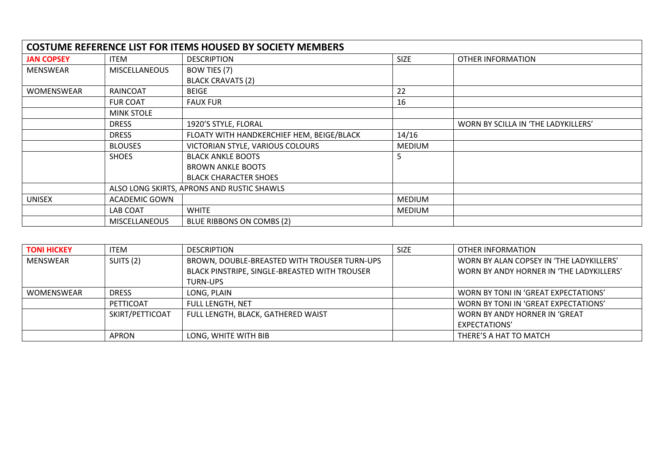| <b>COSTUME REFERENCE LIST FOR ITEMS HOUSED BY SOCIETY MEMBERS</b> |                                            |                                           |               |                                     |  |
|-------------------------------------------------------------------|--------------------------------------------|-------------------------------------------|---------------|-------------------------------------|--|
| <b>JAN COPSEY</b>                                                 | ITEM                                       | <b>DESCRIPTION</b>                        | <b>SIZE</b>   | OTHER INFORMATION                   |  |
| <b>MENSWEAR</b>                                                   | <b>MISCELLANEOUS</b>                       | BOW TIES (7)                              |               |                                     |  |
|                                                                   |                                            | <b>BLACK CRAVATS (2)</b>                  |               |                                     |  |
| <b>WOMENSWEAR</b>                                                 | RAINCOAT                                   | <b>BEIGE</b>                              | 22            |                                     |  |
|                                                                   | <b>FUR COAT</b>                            | <b>FAUX FUR</b>                           | 16            |                                     |  |
|                                                                   | <b>MINK STOLE</b>                          |                                           |               |                                     |  |
|                                                                   | <b>DRESS</b>                               | 1920'S STYLE, FLORAL                      |               | WORN BY SCILLA IN 'THE LADYKILLERS' |  |
|                                                                   | <b>DRESS</b>                               | FLOATY WITH HANDKERCHIEF HEM, BEIGE/BLACK | 14/16         |                                     |  |
|                                                                   | <b>BLOUSES</b>                             | VICTORIAN STYLE, VARIOUS COLOURS          | <b>MEDIUM</b> |                                     |  |
|                                                                   | <b>SHOES</b>                               | <b>BLACK ANKLE BOOTS</b>                  | 5             |                                     |  |
|                                                                   |                                            | <b>BROWN ANKLE BOOTS</b>                  |               |                                     |  |
|                                                                   |                                            | <b>BLACK CHARACTER SHOES</b>              |               |                                     |  |
|                                                                   | ALSO LONG SKIRTS, APRONS AND RUSTIC SHAWLS |                                           |               |                                     |  |
| <b>UNISEX</b>                                                     | <b>ACADEMIC GOWN</b>                       |                                           | <b>MEDIUM</b> |                                     |  |
|                                                                   | LAB COAT                                   | <b>WHITE</b>                              | <b>MEDIUM</b> |                                     |  |
|                                                                   | <b>MISCELLANEOUS</b>                       | <b>BLUE RIBBONS ON COMBS (2)</b>          |               |                                     |  |

| <b>TONI HICKEY</b> | <b>ITEM</b>     | <b>DESCRIPTION</b>                            | <b>SIZE</b> | OTHER INFORMATION                        |
|--------------------|-----------------|-----------------------------------------------|-------------|------------------------------------------|
| MENSWEAR           | SUITS (2)       | BROWN, DOUBLE-BREASTED WITH TROUSER TURN-UPS  |             | WORN BY ALAN COPSEY IN 'THE LADYKILLERS' |
|                    |                 | BLACK PINSTRIPE, SINGLE-BREASTED WITH TROUSER |             | WORN BY ANDY HORNER IN 'THE LADYKILLERS' |
|                    |                 | <b>TURN-UPS</b>                               |             |                                          |
| <b>WOMENSWEAR</b>  | <b>DRESS</b>    | LONG, PLAIN                                   |             | WORN BY TONI IN 'GREAT EXPECTATIONS'     |
|                    | PETTICOAT       | FULL LENGTH, NET                              |             | WORN BY TONI IN 'GREAT EXPECTATIONS'     |
|                    | SKIRT/PETTICOAT | FULL LENGTH, BLACK, GATHERED WAIST            |             | WORN BY ANDY HORNER IN 'GREAT            |
|                    |                 |                                               |             | EXPECTATIONS'                            |
|                    | APRON           | LONG, WHITE WITH BIB                          |             | THERE'S A HAT TO MATCH                   |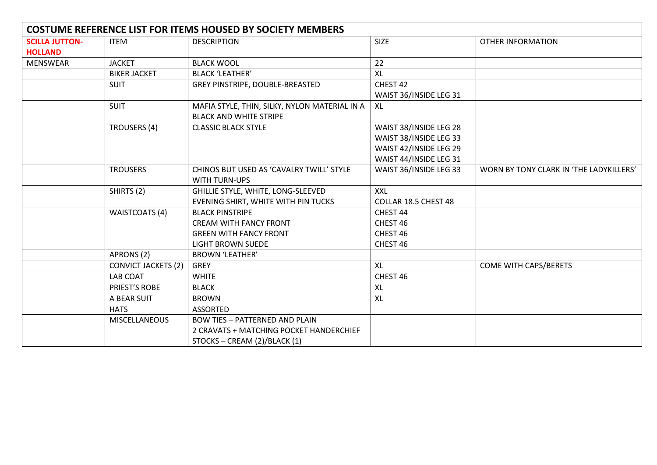| <b>COSTUME REFERENCE LIST FOR ITEMS HOUSED BY SOCIETY MEMBERS</b> |                            |                                               |                        |                                         |  |
|-------------------------------------------------------------------|----------------------------|-----------------------------------------------|------------------------|-----------------------------------------|--|
| <b>SCILLA JUTTON-</b>                                             | <b>ITEM</b>                | <b>DESCRIPTION</b>                            | <b>SIZE</b>            | <b>OTHER INFORMATION</b>                |  |
| <b>HOLLAND</b>                                                    |                            |                                               |                        |                                         |  |
| <b>MENSWEAR</b>                                                   | <b>JACKET</b>              | <b>BLACK WOOL</b>                             | 22                     |                                         |  |
|                                                                   | <b>BIKER JACKET</b>        | <b>BLACK 'LEATHER'</b>                        | XL                     |                                         |  |
|                                                                   | <b>SUIT</b>                | GREY PINSTRIPE, DOUBLE-BREASTED               | CHEST 42               |                                         |  |
|                                                                   |                            |                                               | WAIST 36/INSIDE LEG 31 |                                         |  |
|                                                                   | <b>SUIT</b>                | MAFIA STYLE, THIN, SILKY, NYLON MATERIAL IN A | XL                     |                                         |  |
|                                                                   |                            | <b>BLACK AND WHITE STRIPE</b>                 |                        |                                         |  |
|                                                                   | TROUSERS (4)               | <b>CLASSIC BLACK STYLE</b>                    | WAIST 38/INSIDE LEG 28 |                                         |  |
|                                                                   |                            |                                               | WAIST 38/INSIDE LEG 33 |                                         |  |
|                                                                   |                            |                                               | WAIST 42/INSIDE LEG 29 |                                         |  |
|                                                                   |                            |                                               | WAIST 44/INSIDE LEG 31 |                                         |  |
|                                                                   | <b>TROUSERS</b>            | CHINOS BUT USED AS 'CAVALRY TWILL' STYLE      | WAIST 36/INSIDE LEG 33 | WORN BY TONY CLARK IN 'THE LADYKILLERS' |  |
|                                                                   |                            | WITH TURN-UPS                                 |                        |                                         |  |
|                                                                   | SHIRTS (2)                 | GHILLIE STYLE, WHITE, LONG-SLEEVED            | <b>XXL</b>             |                                         |  |
|                                                                   |                            | EVENING SHIRT, WHITE WITH PIN TUCKS           | COLLAR 18.5 CHEST 48   |                                         |  |
|                                                                   | <b>WAISTCOATS (4)</b>      | <b>BLACK PINSTRIPE</b>                        | CHEST 44               |                                         |  |
|                                                                   |                            | <b>CREAM WITH FANCY FRONT</b>                 | CHEST 46               |                                         |  |
|                                                                   |                            | <b>GREEN WITH FANCY FRONT</b>                 | CHEST 46               |                                         |  |
|                                                                   |                            | <b>LIGHT BROWN SUEDE</b>                      | CHEST 46               |                                         |  |
|                                                                   | APRONS (2)                 | <b>BROWN 'LEATHER'</b>                        |                        |                                         |  |
|                                                                   | <b>CONVICT JACKETS (2)</b> | <b>GREY</b>                                   | XL                     | COME WITH CAPS/BERETS                   |  |
|                                                                   | LAB COAT                   | <b>WHITE</b>                                  | CHEST 46               |                                         |  |
|                                                                   | PRIEST'S ROBE              | <b>BLACK</b>                                  | <b>XL</b>              |                                         |  |
|                                                                   | A BEAR SUIT                | <b>BROWN</b>                                  | XL                     |                                         |  |
|                                                                   | <b>HATS</b>                | <b>ASSORTED</b>                               |                        |                                         |  |
|                                                                   | <b>MISCELLANEOUS</b>       | <b>BOW TIES - PATTERNED AND PLAIN</b>         |                        |                                         |  |
|                                                                   |                            | 2 CRAVATS + MATCHING POCKET HANDERCHIEF       |                        |                                         |  |
|                                                                   |                            | STOCKS - CREAM (2)/BLACK (1)                  |                        |                                         |  |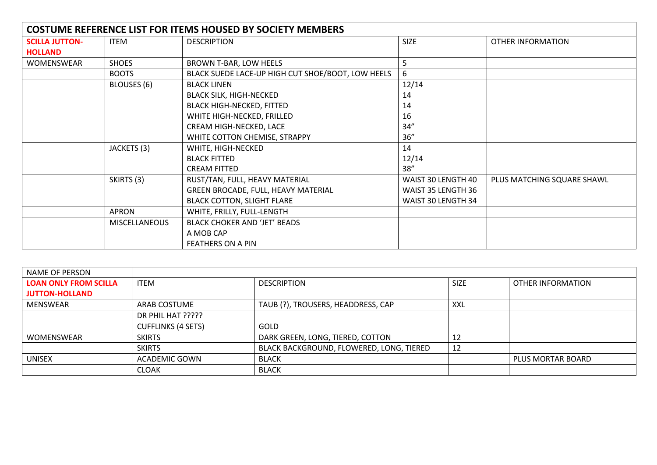| <b>COSTUME REFERENCE LIST FOR ITEMS HOUSED BY SOCIETY MEMBERS</b> |                      |                                                   |                    |                            |  |
|-------------------------------------------------------------------|----------------------|---------------------------------------------------|--------------------|----------------------------|--|
| <b>SCILLA JUTTON-</b>                                             | ITEM                 | <b>DESCRIPTION</b>                                | <b>SIZE</b>        | OTHER INFORMATION          |  |
| <b>HOLLAND</b>                                                    |                      |                                                   |                    |                            |  |
| <b>WOMENSWEAR</b>                                                 | <b>SHOES</b>         | BROWN T-BAR, LOW HEELS                            | 5                  |                            |  |
|                                                                   | <b>BOOTS</b>         | BLACK SUEDE LACE-UP HIGH CUT SHOE/BOOT, LOW HEELS | 6                  |                            |  |
|                                                                   | BLOUSES (6)          | <b>BLACK LINEN</b>                                | 12/14              |                            |  |
|                                                                   |                      | <b>BLACK SILK, HIGH-NECKED</b>                    | 14                 |                            |  |
|                                                                   |                      | <b>BLACK HIGH-NECKED, FITTED</b>                  | 14                 |                            |  |
|                                                                   |                      | WHITE HIGH-NECKED, FRILLED                        | 16                 |                            |  |
|                                                                   |                      | CREAM HIGH-NECKED, LACE                           | 34''               |                            |  |
|                                                                   |                      | WHITE COTTON CHEMISE, STRAPPY                     | 36''               |                            |  |
|                                                                   | JACKETS (3)          | WHITE, HIGH-NECKED                                | 14                 |                            |  |
|                                                                   |                      | <b>BLACK FITTED</b>                               | 12/14              |                            |  |
|                                                                   |                      | <b>CREAM FITTED</b>                               | 38''               |                            |  |
|                                                                   | SKIRTS (3)           | RUST/TAN, FULL, HEAVY MATERIAL                    | WAIST 30 LENGTH 40 | PLUS MATCHING SQUARE SHAWL |  |
|                                                                   |                      | GREEN BROCADE, FULL, HEAVY MATERIAL               | WAIST 35 LENGTH 36 |                            |  |
|                                                                   |                      | <b>BLACK COTTON, SLIGHT FLARE</b>                 | WAIST 30 LENGTH 34 |                            |  |
|                                                                   | APRON                | WHITE, FRILLY, FULL-LENGTH                        |                    |                            |  |
|                                                                   | <b>MISCELLANEOUS</b> | <b>BLACK CHOKER AND 'JET' BEADS</b>               |                    |                            |  |
|                                                                   |                      | A MOB CAP                                         |                    |                            |  |
|                                                                   |                      | FEATHERS ON A PIN                                 |                    |                            |  |

| NAME OF PERSON               |                           |                                          |             |                   |
|------------------------------|---------------------------|------------------------------------------|-------------|-------------------|
| <b>LOAN ONLY FROM SCILLA</b> | <b>ITEM</b>               | <b>DESCRIPTION</b>                       | <b>SIZE</b> | OTHER INFORMATION |
| <b>JUTTON-HOLLAND</b>        |                           |                                          |             |                   |
| MENSWEAR                     | ARAB COSTUME              | TAUB (?), TROUSERS, HEADDRESS, CAP       | <b>XXL</b>  |                   |
|                              | DR PHIL HAT ?????         |                                          |             |                   |
|                              | <b>CUFFLINKS (4 SETS)</b> | GOLD                                     |             |                   |
| <b>WOMENSWEAR</b>            | <b>SKIRTS</b>             | DARK GREEN, LONG, TIERED, COTTON         | 12          |                   |
|                              | <b>SKIRTS</b>             | BLACK BACKGROUND, FLOWERED, LONG, TIERED | 12          |                   |
| <b>UNISEX</b>                | ACADEMIC GOWN             | <b>BLACK</b>                             |             | PLUS MORTAR BOARD |
|                              | <b>CLOAK</b>              | <b>BLACK</b>                             |             |                   |